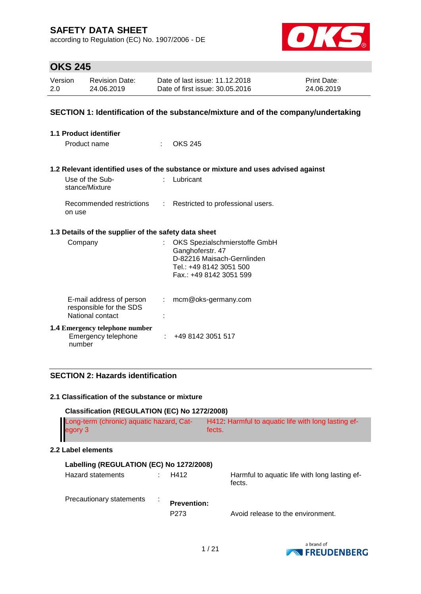according to Regulation (EC) No. 1907/2006 - DE



## **OKS 245**

| Version | Revision Date: | Date of last issue: 11.12.2018  | Print Date: |
|---------|----------------|---------------------------------|-------------|
| 2.0     | 24.06.2019     | Date of first issue: 30.05.2016 | 24.06.2019  |

### **SECTION 1: Identification of the substance/mixture and of the company/undertaking**

| 1.1 Product identifier                                                  |    |                                                                                                                                       |
|-------------------------------------------------------------------------|----|---------------------------------------------------------------------------------------------------------------------------------------|
| Product name<br>÷                                                       |    | <b>OKS 245</b>                                                                                                                        |
|                                                                         |    |                                                                                                                                       |
|                                                                         |    | 1.2 Relevant identified uses of the substance or mixture and uses advised against                                                     |
| Use of the Sub-<br>stance/Mixture                                       |    | $:$ Lubricant                                                                                                                         |
| Recommended restrictions<br>on use                                      |    | : Restricted to professional users.                                                                                                   |
| 1.3 Details of the supplier of the safety data sheet                    |    |                                                                                                                                       |
| Company                                                                 |    | OKS Spezialschmierstoffe GmbH<br>Ganghoferstr. 47<br>D-82216 Maisach-Gernlinden<br>Tel.: +49 8142 3051 500<br>Fax.: +49 8142 3051 599 |
| E-mail address of person<br>responsible for the SDS<br>National contact | t. | mcm@oks-germany.com                                                                                                                   |
| <b>1.4 Emergency telephone number</b><br>Emergency telephone<br>number  |    | : 4981423051517                                                                                                                       |

### **SECTION 2: Hazards identification**

### **2.1 Classification of the substance or mixture**

| Classification (REGULATION (EC) No 1272/2008)       |                  |  |                                                              |  |  |  |  |
|-----------------------------------------------------|------------------|--|--------------------------------------------------------------|--|--|--|--|
| Long-term (chronic) aquatic hazard, Cat-<br>egory 3 |                  |  | H412 Harmful to aquatic life with long lasting ef-<br>fects. |  |  |  |  |
| 2.2 Label elements                                  |                  |  |                                                              |  |  |  |  |
| Labelling (REGULATION (EC) No 1272/2008)            |                  |  |                                                              |  |  |  |  |
|                                                     | H412             |  | Harmful to aquatic life with long lasting ef-<br>fects.      |  |  |  |  |
|                                                     | P <sub>273</sub> |  | Avoid release to the environment.                            |  |  |  |  |
|                                                     |                  |  | <b>Prevention:</b>                                           |  |  |  |  |

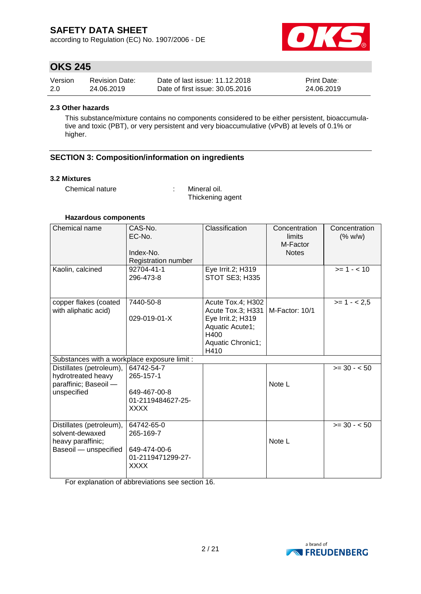according to Regulation (EC) No. 1907/2006 - DE



## **OKS 245**

| Version | <b>Revision Date:</b> | Date of last issue: 11.12.2018  | <b>Print Date:</b> |
|---------|-----------------------|---------------------------------|--------------------|
| 2.0     | 24.06.2019            | Date of first issue: 30.05.2016 | 24.06.2019         |

#### **2.3 Other hazards**

This substance/mixture contains no components considered to be either persistent, bioaccumulative and toxic (PBT), or very persistent and very bioaccumulative (vPvB) at levels of 0.1% or higher.

### **SECTION 3: Composition/information on ingredients**

#### **3.2 Mixtures**

Chemical nature : Mineral oil.

Thickening agent

#### **Hazardous components**

| Chemical name                                                                             | CAS-No.<br>EC-No.<br>Index-No.<br>Registration number                | Classification                                                                                                      | Concentration<br>limits<br>M-Factor<br><b>Notes</b> | Concentration<br>(% w/w) |
|-------------------------------------------------------------------------------------------|----------------------------------------------------------------------|---------------------------------------------------------------------------------------------------------------------|-----------------------------------------------------|--------------------------|
| Kaolin, calcined                                                                          | 92704-41-1<br>296-473-8                                              | Eye Irrit.2; H319<br><b>STOT SE3; H335</b>                                                                          |                                                     | $>= 1 - 10$              |
| copper flakes (coated<br>with aliphatic acid)                                             | 7440-50-8<br>029-019-01-X                                            | Acute Tox.4; H302<br>Acute Tox.3; H331<br>Eye Irrit.2; H319<br>Aquatic Acute1;<br>H400<br>Aquatic Chronic1;<br>H410 | M-Factor: 10/1                                      | $>= 1 - 2.5$             |
| Substances with a workplace exposure limit :                                              |                                                                      |                                                                                                                     |                                                     |                          |
| Distillates (petroleum),<br>hydrotreated heavy<br>paraffinic; Baseoil -<br>unspecified    | 64742-54-7<br>265-157-1<br>649-467-00-8<br>01-2119484627-25-<br>XXXX |                                                                                                                     | Note L                                              | $>= 30 - 50$             |
| Distillates (petroleum),<br>solvent-dewaxed<br>heavy paraffinic;<br>Baseoil - unspecified | 64742-65-0<br>265-169-7<br>649-474-00-6<br>01-2119471299-27-<br>XXXX |                                                                                                                     | Note L                                              | $>= 30 - 50$             |

For explanation of abbreviations see section 16.

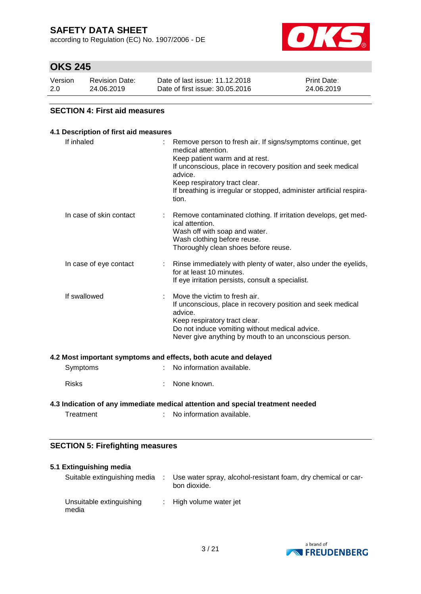according to Regulation (EC) No. 1907/2006 - DE



## **OKS 245**

| Version | <b>Revision Date:</b> | Date of last issue: 11.12.2018  | <b>Print Date:</b> |
|---------|-----------------------|---------------------------------|--------------------|
| 2.0     | 24.06.2019            | Date of first issue: 30.05.2016 | 24.06.2019         |

### **SECTION 4: First aid measures**

### **4.1 Description of first aid measures** If inhaled : Remove person to fresh air. If signs/symptoms continue, get medical attention. Keep patient warm and at rest. If unconscious, place in recovery position and seek medical advice. Keep respiratory tract clear. If breathing is irregular or stopped, administer artificial respiration. In case of skin contact : Remove contaminated clothing. If irritation develops, get medical attention. Wash off with soap and water. Wash clothing before reuse. Thoroughly clean shoes before reuse. In case of eye contact : Rinse immediately with plenty of water, also under the eyelids, for at least 10 minutes. If eye irritation persists, consult a specialist. If swallowed : Move the victim to fresh air. If unconscious, place in recovery position and seek medical advice. Keep respiratory tract clear. Do not induce vomiting without medical advice. Never give anything by mouth to an unconscious person. **4.2 Most important symptoms and effects, both acute and delayed** Symptoms : No information available. Risks : None known.

### **4.3 Indication of any immediate medical attention and special treatment needed**

Treatment : No information available.

### **SECTION 5: Firefighting measures**

| 5.1 Extinguishing media           |                                                                               |
|-----------------------------------|-------------------------------------------------------------------------------|
| Suitable extinguishing media      | Use water spray, alcohol-resistant foam, dry chemical or car-<br>bon dioxide. |
| Unsuitable extinguishing<br>media | : High volume water jet                                                       |

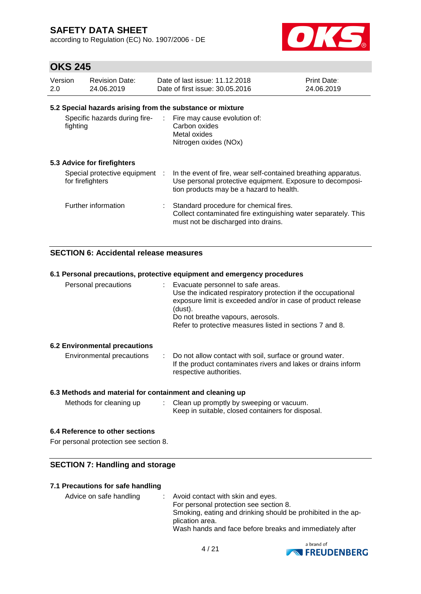according to Regulation (EC) No. 1907/2006 - DE



## **OKS 245**

| Version<br>2.0 | <b>Revision Date:</b><br>24.06.2019                | Date of last issue: 11.12.2018<br>Date of first issue: 30.05.2016                                                                                                       | <b>Print Date:</b><br>24.06.2019 |
|----------------|----------------------------------------------------|-------------------------------------------------------------------------------------------------------------------------------------------------------------------------|----------------------------------|
|                |                                                    | 5.2 Special hazards arising from the substance or mixture                                                                                                               |                                  |
| fighting       | Specific hazards during fire-                      | : Fire may cause evolution of:<br>Carbon oxides<br>Metal oxides<br>Nitrogen oxides (NOx)                                                                                |                                  |
|                | 5.3 Advice for firefighters                        |                                                                                                                                                                         |                                  |
|                | Special protective equipment :<br>for firefighters | In the event of fire, wear self-contained breathing apparatus.<br>Use personal protective equipment. Exposure to decomposi-<br>tion products may be a hazard to health. |                                  |
|                | Further information                                | Standard procedure for chemical fires.<br>Collect contaminated fire extinguishing water separately. This<br>must not be discharged into drains.                         |                                  |

### **SECTION 6: Accidental release measures**

### **6.1 Personal precautions, protective equipment and emergency procedures**

| Personal precautions | (dust). | Evacuate personnel to safe areas.<br>Do not breathe vapours, aerosols. | Use the indicated respiratory protection if the occupational<br>exposure limit is exceeded and/or in case of product release<br>Refer to protective measures listed in sections 7 and 8. |  |
|----------------------|---------|------------------------------------------------------------------------|------------------------------------------------------------------------------------------------------------------------------------------------------------------------------------------|--|
|                      |         |                                                                        |                                                                                                                                                                                          |  |

### **6.2 Environmental precautions**

| Environmental precautions |  | : Do not allow contact with soil, surface or ground water.<br>If the product contaminates rivers and lakes or drains inform<br>respective authorities. |
|---------------------------|--|--------------------------------------------------------------------------------------------------------------------------------------------------------|
|---------------------------|--|--------------------------------------------------------------------------------------------------------------------------------------------------------|

### **6.3 Methods and material for containment and cleaning up**

| Methods for cleaning up | Clean up promptly by sweeping or vacuum.          |
|-------------------------|---------------------------------------------------|
|                         | Keep in suitable, closed containers for disposal. |

#### **6.4 Reference to other sections**

For personal protection see section 8.

#### **SECTION 7: Handling and storage**

#### **7.1 Precautions for safe handling**

Advice on safe handling : Avoid contact with skin and eyes. For personal protection see section 8. Smoking, eating and drinking should be prohibited in the application area. Wash hands and face before breaks and immediately after

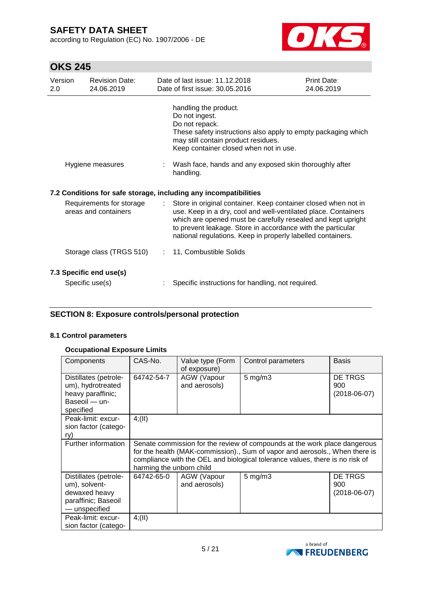according to Regulation (EC) No. 1907/2006 - DE



# **OKS 245**

| Version<br>2.0                                   | <b>Revision Date:</b><br>24.06.2019        |                           | Date of last issue: 11.12.2018<br>Date of first issue: 30.05.2016                                                                                                                                                                                                                                                              | Print Date:<br>24.06.2019 |
|--------------------------------------------------|--------------------------------------------|---------------------------|--------------------------------------------------------------------------------------------------------------------------------------------------------------------------------------------------------------------------------------------------------------------------------------------------------------------------------|---------------------------|
|                                                  |                                            |                           | handling the product.<br>Do not ingest.<br>Do not repack.<br>These safety instructions also apply to empty packaging which<br>may still contain product residues.<br>Keep container closed when not in use.                                                                                                                    |                           |
|                                                  | Hygiene measures                           |                           | Wash face, hands and any exposed skin thoroughly after<br>handling.                                                                                                                                                                                                                                                            |                           |
|                                                  |                                            |                           | 7.2 Conditions for safe storage, including any incompatibilities                                                                                                                                                                                                                                                               |                           |
| Requirements for storage<br>areas and containers |                                            | $\mathbb{Z}^{\mathbb{Z}}$ | Store in original container. Keep container closed when not in<br>use. Keep in a dry, cool and well-ventilated place. Containers<br>which are opened must be carefully resealed and kept upright<br>to prevent leakage. Store in accordance with the particular<br>national regulations. Keep in properly labelled containers. |                           |
|                                                  | Storage class (TRGS 510)                   |                           | 11, Combustible Solids                                                                                                                                                                                                                                                                                                         |                           |
|                                                  | 7.3 Specific end use(s)<br>Specific use(s) |                           | Specific instructions for handling, not required.                                                                                                                                                                                                                                                                              |                           |

### **SECTION 8: Exposure controls/personal protection**

#### **8.1 Control parameters**

### **Occupational Exposure Limits**

| Components                                                                                      | CAS-No.                                                                                                                                                                                                                                                              | Value type (Form<br>of exposure) | Control parameters | <b>Basis</b>                         |
|-------------------------------------------------------------------------------------------------|----------------------------------------------------------------------------------------------------------------------------------------------------------------------------------------------------------------------------------------------------------------------|----------------------------------|--------------------|--------------------------------------|
| Distillates (petrole-<br>um), hydrotreated<br>heavy paraffinic;<br>Baseoil - un-<br>specified   | 64742-54-7                                                                                                                                                                                                                                                           | AGW (Vapour<br>and aerosols)     | $5 \text{ mg/m}$ 3 | DE TRGS<br>900<br>$(2018-06-07)$     |
| Peak-limit: excur-<br>sion factor (catego-<br>ry)                                               | 4(11)                                                                                                                                                                                                                                                                |                                  |                    |                                      |
| Further information                                                                             | Senate commission for the review of compounds at the work place dangerous<br>for the health (MAK-commission)., Sum of vapor and aerosols., When there is<br>compliance with the OEL and biological tolerance values, there is no risk of<br>harming the unborn child |                                  |                    |                                      |
| Distillates (petrole-<br>um), solvent-<br>dewaxed heavy<br>paraffinic; Baseoil<br>- unspecified | 64742-65-0                                                                                                                                                                                                                                                           | AGW (Vapour<br>and aerosols)     | $5 \text{ mg/m}$ 3 | DE TRGS<br>900<br>$(2018 - 06 - 07)$ |
| Peak-limit: excur-<br>sion factor (catego-                                                      | 4(11)                                                                                                                                                                                                                                                                |                                  |                    |                                      |

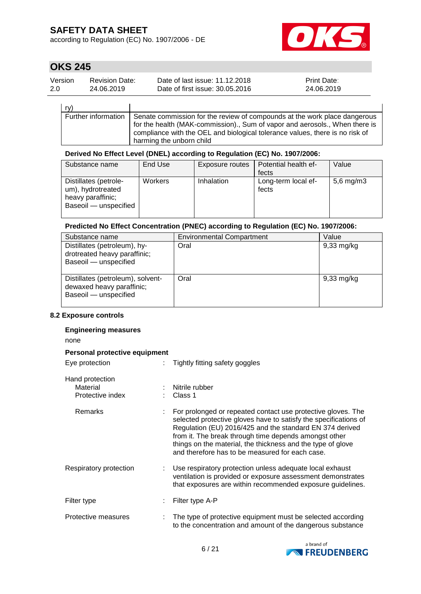according to Regulation (EC) No. 1907/2006 - DE



## **OKS 245**

| Version | <b>Revision Date:</b> | Date of last issue: 11.12.2018  | <b>Print Date:</b> |
|---------|-----------------------|---------------------------------|--------------------|
| 2.0     | 24.06.2019            | Date of first issue: 30.05.2016 | 24.06.2019         |

| rv)                 |                                                                                                                                                                                                                                                                      |
|---------------------|----------------------------------------------------------------------------------------------------------------------------------------------------------------------------------------------------------------------------------------------------------------------|
| Further information | Senate commission for the review of compounds at the work place dangerous<br>for the health (MAK-commission)., Sum of vapor and aerosols., When there is<br>compliance with the OEL and biological tolerance values, there is no risk of<br>harming the unborn child |

#### **Derived No Effect Level (DNEL) according to Regulation (EC) No. 1907/2006:**

| Substance name                                                                           | End Use | Exposure routes   | Potential health ef-         | Value          |
|------------------------------------------------------------------------------------------|---------|-------------------|------------------------------|----------------|
|                                                                                          |         |                   | fects                        |                |
| Distillates (petrole-<br>um), hydrotreated<br>heavy paraffinic;<br>Baseoil - unspecified | Workers | <b>Inhalation</b> | Long-term local ef-<br>fects | $5,6$ mg/m $3$ |

### **Predicted No Effect Concentration (PNEC) according to Regulation (EC) No. 1907/2006:**

| Substance name                                                                          | <b>Environmental Compartment</b> | Value                |
|-----------------------------------------------------------------------------------------|----------------------------------|----------------------|
| Distillates (petroleum), hy-<br>drotreated heavy paraffinic;<br>Baseoil - unspecified   | Oral                             | $9,33$ mg/kg         |
| Distillates (petroleum), solvent-<br>dewaxed heavy paraffinic;<br>Baseoil - unspecified | Oral                             | $9,33 \text{ mg/kg}$ |

#### **8.2 Exposure controls**

#### **Engineering measures**

none

#### **Personal protective equipment**

| Eye protection                                  | Tightly fitting safety goggles                                                                                                                                                                                                                                                                                                                                          |
|-------------------------------------------------|-------------------------------------------------------------------------------------------------------------------------------------------------------------------------------------------------------------------------------------------------------------------------------------------------------------------------------------------------------------------------|
| Hand protection<br>Material<br>Protective index | Nitrile rubber<br>Class 1                                                                                                                                                                                                                                                                                                                                               |
| <b>Remarks</b>                                  | For prolonged or repeated contact use protective gloves. The<br>selected protective gloves have to satisfy the specifications of<br>Regulation (EU) 2016/425 and the standard EN 374 derived<br>from it. The break through time depends amongst other<br>things on the material, the thickness and the type of glove<br>and therefore has to be measured for each case. |
| Respiratory protection                          | Use respiratory protection unless adequate local exhaust<br>ventilation is provided or exposure assessment demonstrates<br>that exposures are within recommended exposure guidelines.                                                                                                                                                                                   |
| Filter type                                     | Filter type A-P                                                                                                                                                                                                                                                                                                                                                         |
| Protective measures                             | The type of protective equipment must be selected according<br>to the concentration and amount of the dangerous substance                                                                                                                                                                                                                                               |

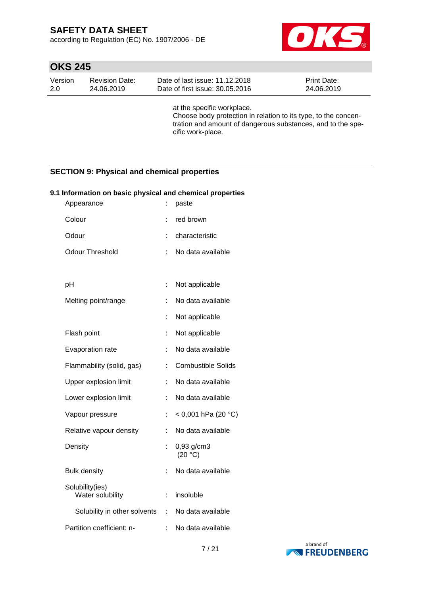according to Regulation (EC) No. 1907/2006 - DE



## **OKS 245**

| Version | <b>Revision Date:</b> | Date of last issue: 11.12.2018  | <b>Print Date:</b> |
|---------|-----------------------|---------------------------------|--------------------|
| -2.0    | 24.06.2019            | Date of first issue: 30.05.2016 | 24.06.2019         |

at the specific workplace. Choose body protection in relation to its type, to the concentration and amount of dangerous substances, and to the specific work-place.

### **SECTION 9: Physical and chemical properties**

#### **9.1 Information on basic physical and chemical properties**

| Appearance                          |    | paste                     |
|-------------------------------------|----|---------------------------|
| Colour                              |    | red brown                 |
| Odour                               |    | characteristic            |
| <b>Odour Threshold</b>              |    | No data available         |
|                                     |    |                           |
| рH                                  |    | Not applicable            |
| Melting point/range                 |    | No data available         |
|                                     | t  | Not applicable            |
| Flash point                         | ÷  | Not applicable            |
| Evaporation rate                    |    | No data available         |
| Flammability (solid, gas)           |    | <b>Combustible Solids</b> |
| Upper explosion limit               |    | No data available         |
| Lower explosion limit               |    | No data available         |
| Vapour pressure                     | ÷  | < 0,001 hPa (20 °C)       |
| Relative vapour density             | ÷  | No data available         |
| Density                             |    | 0,93 g/cm3<br>(20 °C)     |
| <b>Bulk density</b>                 |    | No data available         |
| Solubility(ies)<br>Water solubility | t. | insoluble                 |
| Solubility in other solvents        |    | : No data available       |
| Partition coefficient: n-           |    | No data available         |

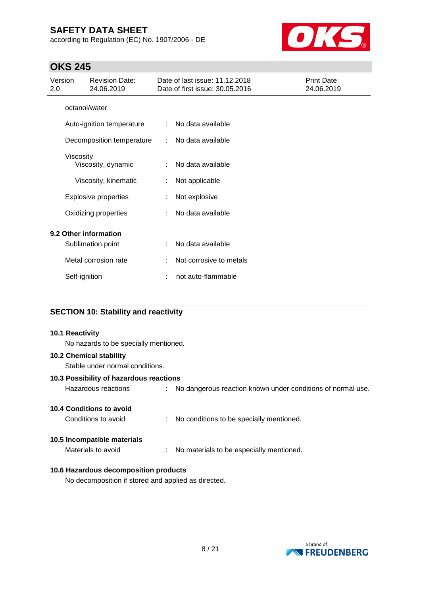according to Regulation (EC) No. 1907/2006 - DE



### **OKS 245**

| Version<br>2.0 | <b>Revision Date:</b><br>24.06.2019 |   | Date of last issue: 11.12.2018<br>Date of first issue: 30.05.2016 | Print Date:<br>24.06.2019 |
|----------------|-------------------------------------|---|-------------------------------------------------------------------|---------------------------|
|                | octanol/water                       |   |                                                                   |                           |
|                | Auto-ignition temperature           | ÷ | No data available                                                 |                           |
|                | Decomposition temperature           | ÷ | No data available                                                 |                           |
|                | Viscosity<br>Viscosity, dynamic     | ÷ | No data available                                                 |                           |
|                | Viscosity, kinematic                |   | Not applicable                                                    |                           |
|                | <b>Explosive properties</b>         |   | Not explosive                                                     |                           |
|                | Oxidizing properties                |   | No data available                                                 |                           |
|                | 9.2 Other information               |   |                                                                   |                           |
|                | Sublimation point                   | ÷ | No data available                                                 |                           |
|                | Metal corrosion rate                |   | Not corrosive to metals                                           |                           |
|                | Self-ignition                       |   | not auto-flammable                                                |                           |

### **SECTION 10: Stability and reactivity**

#### **10.1 Reactivity**

No hazards to be specially mentioned.

### **10.2 Chemical stability**

Stable under normal conditions.

#### **10.3 Possibility of hazardous reactions**

Hazardous reactions : No dangerous reaction known under conditions of normal use.

### **10.4 Conditions to avoid**

Conditions to avoid : No conditions to be specially mentioned.

#### **10.5 Incompatible materials**

Materials to avoid : No materials to be especially mentioned.

### **10.6 Hazardous decomposition products**

No decomposition if stored and applied as directed.

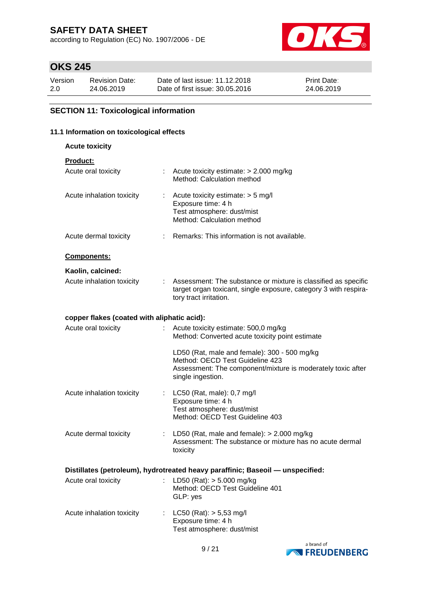according to Regulation (EC) No. 1907/2006 - DE



## **OKS 245**

| Version | <b>Revision Date:</b> | Date of last issue: 11.12.2018  | <b>Print Date:</b> |
|---------|-----------------------|---------------------------------|--------------------|
| 2.0     | 24.06.2019            | Date of first issue: 30.05.2016 | 24.06.2019         |

### **SECTION 11: Toxicological information**

### **11.1 Information on toxicological effects**

**Acute toxicity**

**Product:**

| Acute oral toxicity                             |    | : Acute toxicity estimate: $> 2.000$ mg/kg<br>Method: Calculation method                                                                                            |
|-------------------------------------------------|----|---------------------------------------------------------------------------------------------------------------------------------------------------------------------|
| Acute inhalation toxicity                       | ÷. | Acute toxicity estimate: > 5 mg/l<br>Exposure time: 4 h<br>Test atmosphere: dust/mist<br>Method: Calculation method                                                 |
| Acute dermal toxicity                           |    | : Remarks: This information is not available.                                                                                                                       |
| Components:                                     |    |                                                                                                                                                                     |
| Kaolin, calcined:                               |    |                                                                                                                                                                     |
| Acute inhalation toxicity                       |    | Assessment: The substance or mixture is classified as specific<br>target organ toxicant, single exposure, category 3 with respira-<br>tory tract irritation.        |
| copper flakes (coated with aliphatic acid):     |    |                                                                                                                                                                     |
| Acute oral toxicity                             |    | Acute toxicity estimate: 500,0 mg/kg<br>Method: Converted acute toxicity point estimate                                                                             |
|                                                 |    | LD50 (Rat, male and female): 300 - 500 mg/kg<br>Method: OECD Test Guideline 423<br>Assessment: The component/mixture is moderately toxic after<br>single ingestion. |
| Acute inhalation toxicity                       |    | : LC50 (Rat, male): 0,7 mg/l<br>Exposure time: 4 h<br>Test atmosphere: dust/mist<br>Method: OECD Test Guideline 403                                                 |
| Acute dermal toxicity                           |    | : LD50 (Rat, male and female): $> 2.000$ mg/kg<br>Assessment: The substance or mixture has no acute dermal<br>toxicity                                              |
|                                                 |    | Distillates (petroleum), hydrotreated heavy paraffinic; Baseoil - unspecified:                                                                                      |
| Acute oral toxicity : LD50 (Rat): > 5.000 mg/kg |    | Method: OECD Test Guideline 401<br>GLP: yes                                                                                                                         |
| Acute inhalation toxicity                       |    | $LC50$ (Rat): $> 5,53$ mg/l<br>Exposure time: 4 h<br>Test atmosphere: dust/mist                                                                                     |

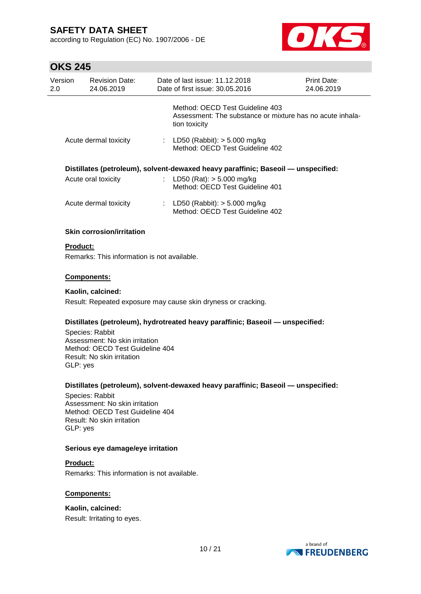according to Regulation (EC) No. 1907/2006 - DE



# **OKS 245**

| UNU LTJ         |                                                                                                                    |   |                                                                                                               |                           |
|-----------------|--------------------------------------------------------------------------------------------------------------------|---|---------------------------------------------------------------------------------------------------------------|---------------------------|
| Version<br>2.0  | <b>Revision Date:</b><br>24.06.2019                                                                                |   | Date of last issue: 11.12.2018<br>Date of first issue: 30.05.2016                                             | Print Date:<br>24.06.2019 |
|                 |                                                                                                                    |   | Method: OECD Test Guideline 403<br>Assessment: The substance or mixture has no acute inhala-<br>tion toxicity |                           |
|                 | Acute dermal toxicity                                                                                              |   | : LD50 (Rabbit): $> 5.000$ mg/kg<br>Method: OECD Test Guideline 402                                           |                           |
|                 |                                                                                                                    |   | Distillates (petroleum), solvent-dewaxed heavy paraffinic; Baseoil - unspecified:                             |                           |
|                 | Acute oral toxicity                                                                                                | ÷ | LD50 (Rat): $> 5.000$ mg/kg<br>Method: OECD Test Guideline 401                                                |                           |
|                 | Acute dermal toxicity                                                                                              |   | : LD50 (Rabbit): $> 5.000$ mg/kg<br>Method: OECD Test Guideline 402                                           |                           |
|                 | <b>Skin corrosion/irritation</b>                                                                                   |   |                                                                                                               |                           |
| <b>Product:</b> |                                                                                                                    |   |                                                                                                               |                           |
|                 | Remarks: This information is not available.                                                                        |   |                                                                                                               |                           |
|                 | Components:                                                                                                        |   |                                                                                                               |                           |
|                 | Kaolin, calcined:                                                                                                  |   |                                                                                                               |                           |
|                 |                                                                                                                    |   | Result: Repeated exposure may cause skin dryness or cracking.                                                 |                           |
| GLP: yes        | Species: Rabbit<br>Assessment: No skin irritation<br>Method: OECD Test Guideline 404<br>Result: No skin irritation |   | Distillates (petroleum), hydrotreated heavy paraffinic; Baseoil — unspecified:                                |                           |

#### **Distillates (petroleum), solvent-dewaxed heavy paraffinic; Baseoil — unspecified:**

Species: Rabbit Assessment: No skin irritation Method: OECD Test Guideline 404 Result: No skin irritation GLP: yes

### **Serious eye damage/eye irritation**

#### **Product:**

Remarks: This information is not available.

### **Components:**

### **Kaolin, calcined:**

Result: Irritating to eyes.

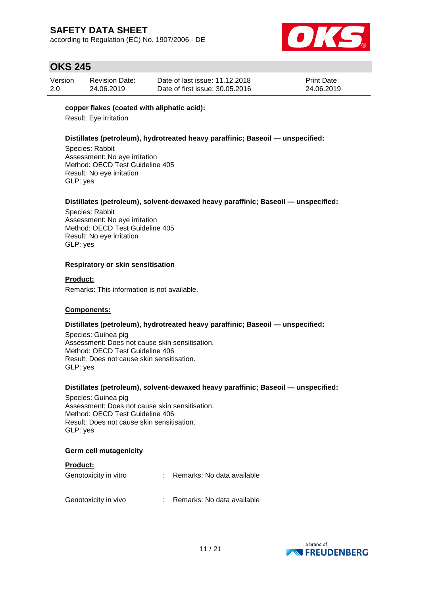according to Regulation (EC) No. 1907/2006 - DE



## **OKS 245**

| Version | <b>Revision Date:</b> | Date of last issue: 11.12.2018  | <b>Print Date:</b> |
|---------|-----------------------|---------------------------------|--------------------|
| 2.0     | 24.06.2019            | Date of first issue: 30.05.2016 | 24.06.2019         |

#### **copper flakes (coated with aliphatic acid):**

Result: Eye irritation

### **Distillates (petroleum), hydrotreated heavy paraffinic; Baseoil — unspecified:**

Species: Rabbit Assessment: No eye irritation Method: OECD Test Guideline 405 Result: No eye irritation GLP: yes

### **Distillates (petroleum), solvent-dewaxed heavy paraffinic; Baseoil — unspecified:**

Species: Rabbit Assessment: No eye irritation Method: OECD Test Guideline 405 Result: No eye irritation GLP: yes

#### **Respiratory or skin sensitisation**

#### **Product:**

Remarks: This information is not available.

#### **Components:**

#### **Distillates (petroleum), hydrotreated heavy paraffinic; Baseoil — unspecified:**

Species: Guinea pig Assessment: Does not cause skin sensitisation. Method: OECD Test Guideline 406 Result: Does not cause skin sensitisation. GLP: yes

#### **Distillates (petroleum), solvent-dewaxed heavy paraffinic; Baseoil — unspecified:**

Species: Guinea pig Assessment: Does not cause skin sensitisation. Method: OECD Test Guideline 406 Result: Does not cause skin sensitisation. GLP: yes

#### **Germ cell mutagenicity**

| <b>Product:</b>       |                            |
|-----------------------|----------------------------|
| Genotoxicity in vitro | Remarks: No data available |
| Genotoxicity in vivo  | Remarks: No data available |

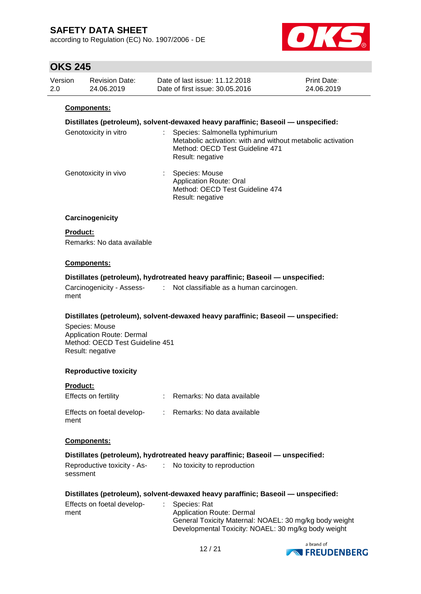according to Regulation (EC) No. 1907/2006 - DE



## **OKS 245**

| Version | <b>Revision Date:</b> | Date of last issue: 11.12.2018  | <b>Print Date:</b> |
|---------|-----------------------|---------------------------------|--------------------|
| 2.0     | 24.06.2019            | Date of first issue: 30.05.2016 | 24.06.2019         |

#### **Components:**

#### **Distillates (petroleum), solvent-dewaxed heavy paraffinic; Baseoil — unspecified:**

| Genotoxicity in vitro | Species: Salmonella typhimurium<br>Metabolic activation: with and without metabolic activation<br>Method: OECD Test Guideline 471<br>Result: negative |
|-----------------------|-------------------------------------------------------------------------------------------------------------------------------------------------------|
| Genotoxicity in vivo  | Species: Mouse<br>Application Route: Oral<br>Method: OECD Test Guideline 474<br>Result: negative                                                      |

#### **Carcinogenicity**

#### **Product:**

Remarks: No data available

#### **Components:**

#### **Distillates (petroleum), hydrotreated heavy paraffinic; Baseoil — unspecified:**

| Carcinogenicity - Assess- | Not classifiable as a human carcinogen. |
|---------------------------|-----------------------------------------|
| ment                      |                                         |

#### **Distillates (petroleum), solvent-dewaxed heavy paraffinic; Baseoil — unspecified:**

Species: Mouse Application Route: Dermal Method: OECD Test Guideline 451 Result: negative

#### **Reproductive toxicity**

| Product:                           |                              |
|------------------------------------|------------------------------|
| Effects on fertility               | : Remarks: No data available |
| Effects on foetal develop-<br>ment | : Remarks: No data available |

#### **Components:**

#### **Distillates (petroleum), hydrotreated heavy paraffinic; Baseoil — unspecified:**

| Reproductive toxicity - As- | No toxicity to reproduction |
|-----------------------------|-----------------------------|
| sessment                    |                             |

#### **Distillates (petroleum), solvent-dewaxed heavy paraffinic; Baseoil — unspecified:**

| Effects on foetal develop- |  | : Species: Rat                                         |
|----------------------------|--|--------------------------------------------------------|
| ment                       |  | Application Route: Dermal                              |
|                            |  | General Toxicity Maternal: NOAEL: 30 mg/kg body weight |
|                            |  | Developmental Toxicity: NOAEL: 30 mg/kg body weight    |

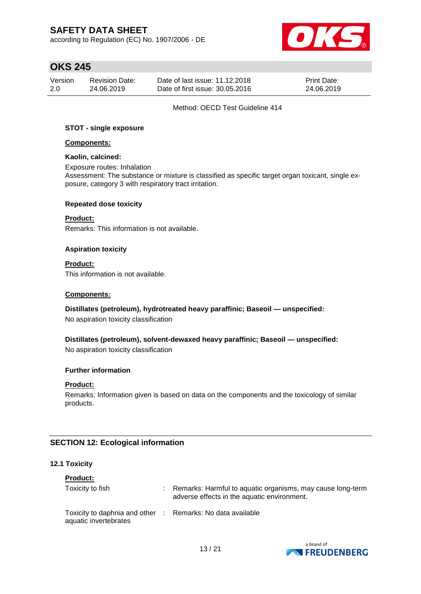according to Regulation (EC) No. 1907/2006 - DE



## **OKS 245**

| Version | <b>Revision Date:</b> | Date of last issue: 11.12.2018  | <b>Print Date:</b> |
|---------|-----------------------|---------------------------------|--------------------|
| 2.0     | 24.06.2019            | Date of first issue: 30.05.2016 | 24.06.2019         |

#### Method: OECD Test Guideline 414

#### **STOT - single exposure**

#### **Components:**

#### **Kaolin, calcined:**

Exposure routes: Inhalation Assessment: The substance or mixture is classified as specific target organ toxicant, single exposure, category 3 with respiratory tract irritation.

#### **Repeated dose toxicity**

#### **Product:**

Remarks: This information is not available.

#### **Aspiration toxicity**

**Product:** This information is not available.

#### **Components:**

#### **Distillates (petroleum), hydrotreated heavy paraffinic; Baseoil — unspecified:**

No aspiration toxicity classification

**Distillates (petroleum), solvent-dewaxed heavy paraffinic; Baseoil — unspecified:** No aspiration toxicity classification

#### **Further information**

#### **Product:**

Remarks: Information given is based on data on the components and the toxicology of similar products.

### **SECTION 12: Ecological information**

#### **12.1 Toxicity**

| <b>Product:</b>                                                                     |  |                                                                                                           |  |  |  |  |
|-------------------------------------------------------------------------------------|--|-----------------------------------------------------------------------------------------------------------|--|--|--|--|
| Toxicity to fish                                                                    |  | Remarks: Harmful to aquatic organisms, may cause long-term<br>adverse effects in the aquatic environment. |  |  |  |  |
| Toxicity to daphnia and other : Remarks: No data available<br>aquatic invertebrates |  |                                                                                                           |  |  |  |  |

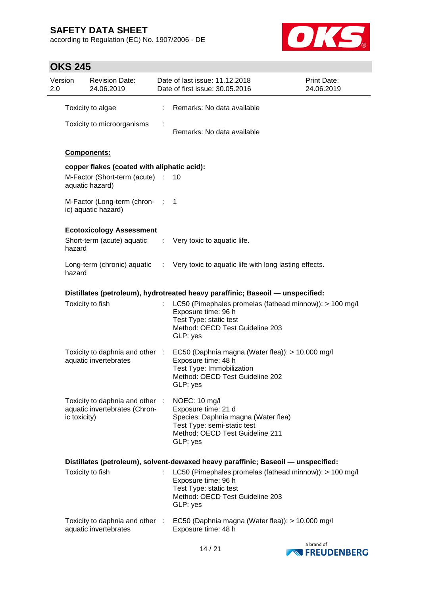according to Regulation (EC) No. 1907/2006 - DE



## **OKS 245**

| Version<br>2.0 |                  | <b>Revision Date:</b><br>24.06.2019                              |    | Date of last issue: 11.12.2018<br>Date of first issue: 30.05.2016                                                                                         | Print Date:<br>24.06.2019 |
|----------------|------------------|------------------------------------------------------------------|----|-----------------------------------------------------------------------------------------------------------------------------------------------------------|---------------------------|
|                |                  | Toxicity to algae                                                | t. | Remarks: No data available                                                                                                                                |                           |
|                |                  | Toxicity to microorganisms                                       |    | Remarks: No data available                                                                                                                                |                           |
|                |                  | <b>Components:</b>                                               |    |                                                                                                                                                           |                           |
|                |                  | copper flakes (coated with aliphatic acid):                      |    |                                                                                                                                                           |                           |
|                |                  | M-Factor (Short-term (acute) :<br>aquatic hazard)                |    | 10                                                                                                                                                        |                           |
|                |                  | M-Factor (Long-term (chron- : 1<br>ic) aquatic hazard)           |    |                                                                                                                                                           |                           |
|                |                  | <b>Ecotoxicology Assessment</b>                                  |    |                                                                                                                                                           |                           |
|                | hazard           | Short-term (acute) aquatic                                       |    | : Very toxic to aquatic life.                                                                                                                             |                           |
|                | hazard           |                                                                  |    | Long-term (chronic) aquatic : Very toxic to aquatic life with long lasting effects.                                                                       |                           |
|                |                  |                                                                  |    | Distillates (petroleum), hydrotreated heavy paraffinic; Baseoil - unspecified:                                                                            |                           |
|                | Toxicity to fish |                                                                  |    | LC50 (Pimephales promelas (fathead minnow)): > 100 mg/l<br>Exposure time: 96 h<br>Test Type: static test<br>Method: OECD Test Guideline 203<br>GLP: yes   |                           |
|                |                  | Toxicity to daphnia and other :<br>aquatic invertebrates         |    | EC50 (Daphnia magna (Water flea)): > 10.000 mg/l<br>Exposure time: 48 h<br>Test Type: Immobilization<br>Method: OECD Test Guideline 202<br>GLP: yes       |                           |
|                | ic toxicity)     | Toxicity to daphnia and other :<br>aquatic invertebrates (Chron- |    | NOEC: 10 mg/l<br>Exposure time: 21 d<br>Species: Daphnia magna (Water flea)<br>Test Type: semi-static test<br>Method: OECD Test Guideline 211<br>GLP: yes |                           |
|                |                  |                                                                  |    | Distillates (petroleum), solvent-dewaxed heavy paraffinic; Baseoil - unspecified:                                                                         |                           |
|                | Toxicity to fish |                                                                  |    | LC50 (Pimephales promelas (fathead minnow)): > 100 mg/l<br>Exposure time: 96 h<br>Test Type: static test<br>Method: OECD Test Guideline 203<br>GLP: yes   |                           |
|                |                  | Toxicity to daphnia and other :<br>aquatic invertebrates         |    | EC50 (Daphnia magna (Water flea)): > 10.000 mg/l<br>Exposure time: 48 h                                                                                   |                           |

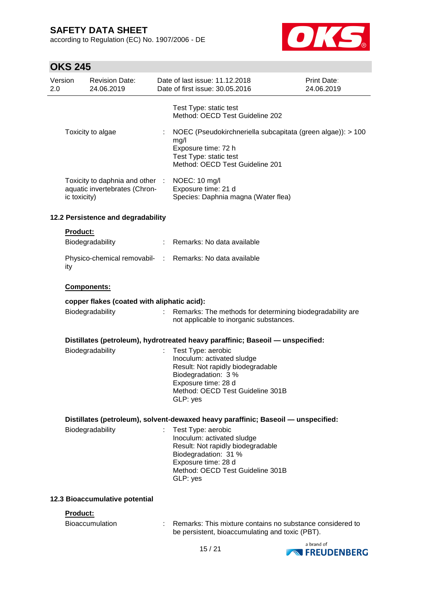according to Regulation (EC) No. 1907/2006 - DE



# **OKS 245**

| Version<br>2.0 |                                | <b>Revision Date:</b><br>24.06.2019                              |   | Date of last issue: 11.12.2018<br>Date of first issue: 30.05.2016                                                                                                                    | Print Date:<br>24.06.2019 |
|----------------|--------------------------------|------------------------------------------------------------------|---|--------------------------------------------------------------------------------------------------------------------------------------------------------------------------------------|---------------------------|
|                |                                |                                                                  |   | Test Type: static test<br>Method: OECD Test Guideline 202                                                                                                                            |                           |
|                |                                | Toxicity to algae                                                | ÷ | NOEC (Pseudokirchneriella subcapitata (green algae)): > 100<br>mg/l<br>Exposure time: 72 h<br>Test Type: static test<br>Method: OECD Test Guideline 201                              |                           |
|                | ic toxicity)                   | Toxicity to daphnia and other :<br>aquatic invertebrates (Chron- |   | NOEC: 10 mg/l<br>Exposure time: 21 d<br>Species: Daphnia magna (Water flea)                                                                                                          |                           |
|                |                                | 12.2 Persistence and degradability                               |   |                                                                                                                                                                                      |                           |
|                | <b>Product:</b>                |                                                                  |   |                                                                                                                                                                                      |                           |
|                |                                | Biodegradability                                                 | ÷ | Remarks: No data available                                                                                                                                                           |                           |
|                | ity                            |                                                                  |   | Physico-chemical removabil- : Remarks: No data available                                                                                                                             |                           |
|                |                                | Components:                                                      |   |                                                                                                                                                                                      |                           |
|                |                                | copper flakes (coated with aliphatic acid):                      |   |                                                                                                                                                                                      |                           |
|                |                                | Biodegradability                                                 |   | Remarks: The methods for determining biodegradability are<br>not applicable to inorganic substances.                                                                                 |                           |
|                |                                |                                                                  |   | Distillates (petroleum), hydrotreated heavy paraffinic; Baseoil - unspecified:                                                                                                       |                           |
|                |                                | Biodegradability                                                 |   | Test Type: aerobic<br>Inoculum: activated sludge<br>Result: Not rapidly biodegradable<br>Biodegradation: 3 %<br>Exposure time: 28 d<br>Method: OECD Test Guideline 301B<br>GLP: yes  |                           |
|                |                                |                                                                  |   | Distillates (petroleum), solvent-dewaxed heavy paraffinic; Baseoil - unspecified:                                                                                                    |                           |
|                |                                | Biodegradability                                                 |   | Test Type: aerobic<br>Inoculum: activated sludge<br>Result: Not rapidly biodegradable<br>Biodegradation: 31 %<br>Exposure time: 28 d<br>Method: OECD Test Guideline 301B<br>GLP: yes |                           |
|                | 12.3 Bioaccumulative potential |                                                                  |   |                                                                                                                                                                                      |                           |
|                | <b>Product:</b>                |                                                                  |   |                                                                                                                                                                                      |                           |
|                |                                | <b>Bioaccumulation</b>                                           |   | Remarks: This mixture contains no substance considered to<br>be persistent, bioaccumulating and toxic (PBT).                                                                         |                           |

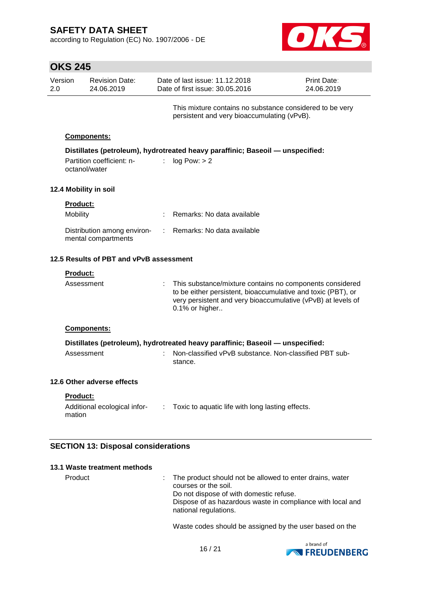according to Regulation (EC) No. 1907/2006 - DE



|                | <b>OKS 245</b>       |                                                    |    |                                                                                                                                                                                                            |                           |  |  |
|----------------|----------------------|----------------------------------------------------|----|------------------------------------------------------------------------------------------------------------------------------------------------------------------------------------------------------------|---------------------------|--|--|
| Version<br>2.0 |                      | <b>Revision Date:</b><br>24.06.2019                |    | Date of last issue: 11.12.2018<br>Date of first issue: 30.05.2016                                                                                                                                          | Print Date:<br>24.06.2019 |  |  |
|                |                      |                                                    |    | This mixture contains no substance considered to be very<br>persistent and very bioaccumulating (vPvB).                                                                                                    |                           |  |  |
|                | Components:          |                                                    |    |                                                                                                                                                                                                            |                           |  |  |
|                | octanol/water        | Partition coefficient: n-                          |    | Distillates (petroleum), hydrotreated heavy paraffinic; Baseoil - unspecified:<br>log Pow: > 2                                                                                                             |                           |  |  |
|                |                      | 12.4 Mobility in soil                              |    |                                                                                                                                                                                                            |                           |  |  |
|                | Product:<br>Mobility |                                                    |    | Remarks: No data available                                                                                                                                                                                 |                           |  |  |
|                |                      | Distribution among environ-<br>mental compartments | t. | Remarks: No data available                                                                                                                                                                                 |                           |  |  |
|                |                      | 12.5 Results of PBT and vPvB assessment            |    |                                                                                                                                                                                                            |                           |  |  |
|                | <b>Product:</b>      |                                                    |    |                                                                                                                                                                                                            |                           |  |  |
|                | Assessment           |                                                    |    | This substance/mixture contains no components considered<br>to be either persistent, bioaccumulative and toxic (PBT), or<br>very persistent and very bioaccumulative (vPvB) at levels of<br>0.1% or higher |                           |  |  |
|                | Components:          |                                                    |    |                                                                                                                                                                                                            |                           |  |  |
|                |                      |                                                    |    | Distillates (petroleum), hydrotreated heavy paraffinic; Baseoil — unspecified:                                                                                                                             |                           |  |  |
|                | Assessment           |                                                    |    | Non-classified vPvB substance. Non-classified PBT sub-<br>stance.                                                                                                                                          |                           |  |  |
|                |                      | 12.6 Other adverse effects                         |    |                                                                                                                                                                                                            |                           |  |  |
|                | Product:<br>mation   | Additional ecological infor-                       | ÷. | Toxic to aquatic life with long lasting effects.                                                                                                                                                           |                           |  |  |
|                |                      | <b>SECTION 13: Disposal considerations</b>         |    |                                                                                                                                                                                                            |                           |  |  |

| 13.1 Waste treatment methods |                                                                                                                                                                                                                      |
|------------------------------|----------------------------------------------------------------------------------------------------------------------------------------------------------------------------------------------------------------------|
| Product                      | : The product should not be allowed to enter drains, water<br>courses or the soil.<br>Do not dispose of with domestic refuse.<br>Dispose of as hazardous waste in compliance with local and<br>national regulations. |

Waste codes should be assigned by the user based on the

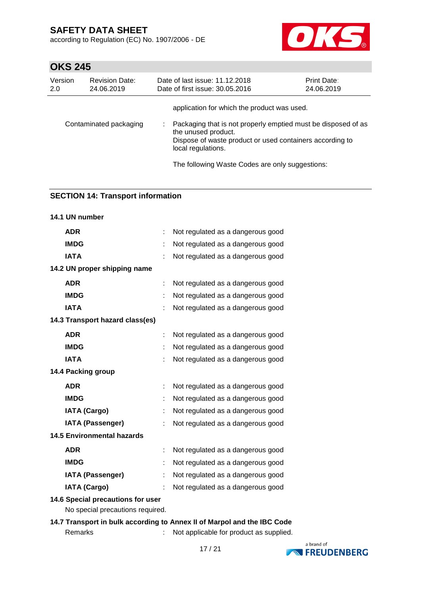according to Regulation (EC) No. 1907/2006 - DE



# **OKS 245**

| Version<br>2.0         | <b>Revision Date:</b><br>24.06.2019 | Date of last issue: 11.12.2018<br>Date of first issue: 30.05.2016                                                                                                      | <b>Print Date:</b><br>24.06.2019 |
|------------------------|-------------------------------------|------------------------------------------------------------------------------------------------------------------------------------------------------------------------|----------------------------------|
|                        |                                     | application for which the product was used.                                                                                                                            |                                  |
| Contaminated packaging |                                     | Packaging that is not properly emptied must be disposed of as<br>the unused product.<br>Dispose of waste product or used containers according to<br>local regulations. |                                  |
|                        |                                     | The following Waste Codes are only suggestions:                                                                                                                        |                                  |

### **SECTION 14: Transport information**

| 14.1 UN number                    |    |                                   |  |  |  |
|-----------------------------------|----|-----------------------------------|--|--|--|
| <b>ADR</b>                        | t  | Not regulated as a dangerous good |  |  |  |
| <b>IMDG</b>                       |    | Not regulated as a dangerous good |  |  |  |
| <b>IATA</b>                       |    | Not regulated as a dangerous good |  |  |  |
| 14.2 UN proper shipping name      |    |                                   |  |  |  |
| <b>ADR</b>                        |    | Not regulated as a dangerous good |  |  |  |
| <b>IMDG</b>                       |    | Not regulated as a dangerous good |  |  |  |
| <b>IATA</b>                       |    | Not regulated as a dangerous good |  |  |  |
| 14.3 Transport hazard class(es)   |    |                                   |  |  |  |
| <b>ADR</b>                        | ÷  | Not regulated as a dangerous good |  |  |  |
| <b>IMDG</b>                       |    | Not regulated as a dangerous good |  |  |  |
| <b>IATA</b>                       |    | Not regulated as a dangerous good |  |  |  |
| 14.4 Packing group                |    |                                   |  |  |  |
| <b>ADR</b>                        | t. | Not regulated as a dangerous good |  |  |  |
| <b>IMDG</b>                       | t. | Not regulated as a dangerous good |  |  |  |
| <b>IATA (Cargo)</b>               | t. | Not regulated as a dangerous good |  |  |  |
| <b>IATA (Passenger)</b>           | ÷  | Not regulated as a dangerous good |  |  |  |
| <b>14.5 Environmental hazards</b> |    |                                   |  |  |  |
| <b>ADR</b>                        |    | Not regulated as a dangerous good |  |  |  |
| <b>IMDG</b>                       |    | Not regulated as a dangerous good |  |  |  |
| <b>IATA (Passenger)</b>           | t  | Not regulated as a dangerous good |  |  |  |
| <b>IATA (Cargo)</b>               |    | Not regulated as a dangerous good |  |  |  |
| 14.6 Special precautions for user |    |                                   |  |  |  |
| No special precautions required.  |    |                                   |  |  |  |

**14.7 Transport in bulk according to Annex II of Marpol and the IBC Code** Remarks : Not applicable for product as supplied.

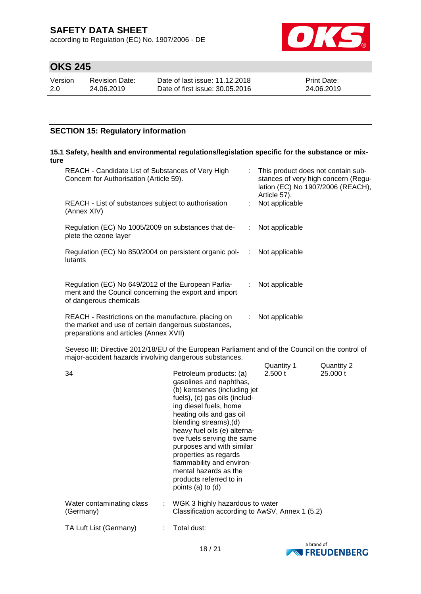according to Regulation (EC) No. 1907/2006 - DE



# **OKS 245**

| Version | <b>Revision Date:</b> | Date of last issue: 11.12.2018  | <b>Print Date:</b> |
|---------|-----------------------|---------------------------------|--------------------|
| 2.0     | 24.06.2019            | Date of first issue: 30.05.2016 | 24.06.2019         |

### **SECTION 15: Regulatory information**

#### **15.1 Safety, health and environmental regulations/legislation specific for the substance or mixture**

| REACH - Candidate List of Substances of Very High<br>Concern for Authorisation (Article 59).                                                         |           | : This product does not contain sub-<br>stances of very high concern (Regu-<br>lation (EC) No 1907/2006 (REACH),<br>Article 57). |
|------------------------------------------------------------------------------------------------------------------------------------------------------|-----------|----------------------------------------------------------------------------------------------------------------------------------|
| REACH - List of substances subject to authorisation<br>(Annex XIV)                                                                                   |           | Not applicable                                                                                                                   |
| Regulation (EC) No 1005/2009 on substances that de-<br>plete the ozone layer                                                                         | ÷.        | Not applicable                                                                                                                   |
| Regulation (EC) No 850/2004 on persistent organic pol-<br>lutants                                                                                    | $\cdot$ : | Not applicable                                                                                                                   |
| Regulation (EC) No 649/2012 of the European Parlia-<br>ment and the Council concerning the export and import<br>of dangerous chemicals               |           | : Not applicable                                                                                                                 |
| REACH - Restrictions on the manufacture, placing on<br>the market and use of certain dangerous substances,<br>preparations and articles (Annex XVII) |           | Not applicable                                                                                                                   |

Seveso III: Directive 2012/18/EU of the European Parliament and of the Council on the control of major-accident hazards involving dangerous substances.  $Quantiv 1$  Quantity 2

| 34                                     |   | Petroleum products: (a)<br>gasolines and naphthas,<br>(b) kerosenes (including jet<br>fuels), (c) gas oils (includ-<br>ing diesel fuels, home<br>heating oils and gas oil<br>blending streams),(d)<br>heavy fuel oils (e) alterna-<br>tive fuels serving the same<br>purposes and with similar<br>properties as regards<br>flammability and environ-<br>mental hazards as the<br>products referred to in<br>points (a) to (d) | Quantity T<br>2.500 t | Quantity 2<br>25,000 t |
|----------------------------------------|---|-------------------------------------------------------------------------------------------------------------------------------------------------------------------------------------------------------------------------------------------------------------------------------------------------------------------------------------------------------------------------------------------------------------------------------|-----------------------|------------------------|
| Water contaminating class<br>(Germany) |   | $\therefore$ WGK 3 highly hazardous to water<br>Classification according to AwSV, Annex 1 (5.2)                                                                                                                                                                                                                                                                                                                               |                       |                        |
| TA Luft List (Germany)                 | ÷ | Total dust:                                                                                                                                                                                                                                                                                                                                                                                                                   |                       |                        |

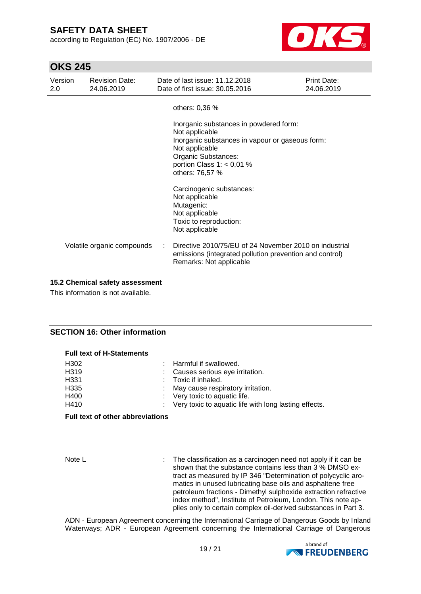according to Regulation (EC) No. 1907/2006 - DE



## **OKS 245**

| Version<br>2.0 | <b>Revision Date:</b><br>24.06.2019 |   | Date of last issue: 11.12.2018<br>Date of first issue: 30.05.2016                                                                                                                                      | Print Date:<br>24.06.2019 |
|----------------|-------------------------------------|---|--------------------------------------------------------------------------------------------------------------------------------------------------------------------------------------------------------|---------------------------|
|                |                                     |   | others: 0,36 %                                                                                                                                                                                         |                           |
|                |                                     |   | Inorganic substances in powdered form:<br>Not applicable<br>Inorganic substances in vapour or gaseous form:<br>Not applicable<br>Organic Substances:<br>portion Class 1: $<$ 0,01 %<br>others: 76,57 % |                           |
|                |                                     |   | Carcinogenic substances:<br>Not applicable<br>Mutagenic:<br>Not applicable<br>Toxic to reproduction:<br>Not applicable                                                                                 |                           |
|                | Volatile organic compounds          | ÷ | Directive 2010/75/EU of 24 November 2010 on industrial<br>emissions (integrated pollution prevention and control)<br>Remarks: Not applicable                                                           |                           |

#### **15.2 Chemical safety assessment**

This information is not available.

### **SECTION 16: Other information**

**Full text of H-Statements**

| FUII ICĂI UI N-OIAICHICHIS |                                                         |
|----------------------------|---------------------------------------------------------|
| H302                       | : Harmful if swallowed.                                 |
| H319                       | : Causes serious eye irritation.                        |
| H331                       | : Toxic if inhaled.                                     |
| H335                       | : May cause respiratory irritation.                     |
| H400                       | : Very toxic to aquatic life.                           |
| H410                       | : Very toxic to aquatic life with long lasting effects. |
|                            |                                                         |

#### **Full text of other abbreviations**

Note L **interest in the classification as a carcinogen need not apply if it can be** shown that the substance contains less than 3 % DMSO extract as measured by IP 346 "Determination of polycyclic aromatics in unused lubricating base oils and asphaltene free petroleum fractions - Dimethyl sulphoxide extraction refractive index method", Institute of Petroleum, London. This note applies only to certain complex oil-derived substances in Part 3.

ADN - European Agreement concerning the International Carriage of Dangerous Goods by Inland Waterways; ADR - European Agreement concerning the International Carriage of Dangerous

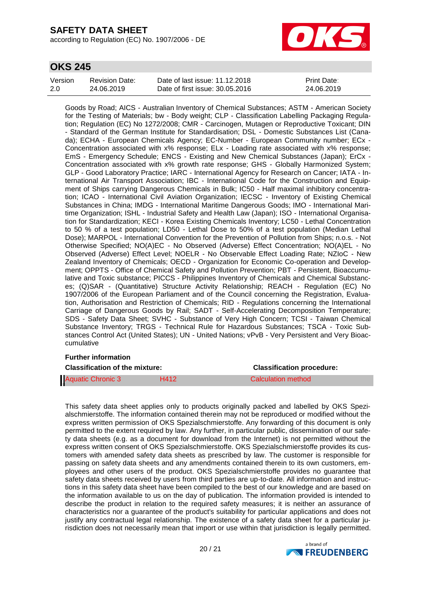according to Regulation (EC) No. 1907/2006 - DE



### **OKS 245**

| Version | Revision Date: | Date of last issue: 11.12.2018  | <b>Print Date:</b> |
|---------|----------------|---------------------------------|--------------------|
| 2.0     | 24.06.2019     | Date of first issue: 30.05.2016 | 24.06.2019         |

Goods by Road; AICS - Australian Inventory of Chemical Substances; ASTM - American Society for the Testing of Materials; bw - Body weight; CLP - Classification Labelling Packaging Regulation; Regulation (EC) No 1272/2008; CMR - Carcinogen, Mutagen or Reproductive Toxicant; DIN - Standard of the German Institute for Standardisation; DSL - Domestic Substances List (Canada); ECHA - European Chemicals Agency; EC-Number - European Community number; ECx - Concentration associated with x% response; ELx - Loading rate associated with x% response; EmS - Emergency Schedule; ENCS - Existing and New Chemical Substances (Japan); ErCx - Concentration associated with x% growth rate response; GHS - Globally Harmonized System; GLP - Good Laboratory Practice; IARC - International Agency for Research on Cancer; IATA - International Air Transport Association; IBC - International Code for the Construction and Equipment of Ships carrying Dangerous Chemicals in Bulk; IC50 - Half maximal inhibitory concentration; ICAO - International Civil Aviation Organization; IECSC - Inventory of Existing Chemical Substances in China; IMDG - International Maritime Dangerous Goods; IMO - International Maritime Organization; ISHL - Industrial Safety and Health Law (Japan); ISO - International Organisation for Standardization; KECI - Korea Existing Chemicals Inventory; LC50 - Lethal Concentration to 50 % of a test population; LD50 - Lethal Dose to 50% of a test population (Median Lethal Dose); MARPOL - International Convention for the Prevention of Pollution from Ships; n.o.s. - Not Otherwise Specified; NO(A)EC - No Observed (Adverse) Effect Concentration; NO(A)EL - No Observed (Adverse) Effect Level; NOELR - No Observable Effect Loading Rate; NZIoC - New Zealand Inventory of Chemicals; OECD - Organization for Economic Co-operation and Development; OPPTS - Office of Chemical Safety and Pollution Prevention; PBT - Persistent, Bioaccumulative and Toxic substance; PICCS - Philippines Inventory of Chemicals and Chemical Substances; (Q)SAR - (Quantitative) Structure Activity Relationship; REACH - Regulation (EC) No 1907/2006 of the European Parliament and of the Council concerning the Registration, Evaluation, Authorisation and Restriction of Chemicals; RID - Regulations concerning the International Carriage of Dangerous Goods by Rail; SADT - Self-Accelerating Decomposition Temperature; SDS - Safety Data Sheet; SVHC - Substance of Very High Concern; TCSI - Taiwan Chemical Substance Inventory; TRGS - Technical Rule for Hazardous Substances; TSCA - Toxic Substances Control Act (United States); UN - United Nations; vPvB - Very Persistent and Very Bioaccumulative

#### **Further information**

| <b>Classification of the mixture:</b> |      | <b>Classification procedure:</b> |
|---------------------------------------|------|----------------------------------|
| <b>Aquatic Chronic 3</b>              | H412 | Calculation method               |

This safety data sheet applies only to products originally packed and labelled by OKS Spezialschmierstoffe. The information contained therein may not be reproduced or modified without the express written permission of OKS Spezialschmierstoffe. Any forwarding of this document is only permitted to the extent required by law. Any further, in particular public, dissemination of our safety data sheets (e.g. as a document for download from the Internet) is not permitted without the express written consent of OKS Spezialschmierstoffe. OKS Spezialschmierstoffe provides its customers with amended safety data sheets as prescribed by law. The customer is responsible for passing on safety data sheets and any amendments contained therein to its own customers, employees and other users of the product. OKS Spezialschmierstoffe provides no guarantee that safety data sheets received by users from third parties are up-to-date. All information and instructions in this safety data sheet have been compiled to the best of our knowledge and are based on the information available to us on the day of publication. The information provided is intended to describe the product in relation to the required safety measures; it is neither an assurance of characteristics nor a guarantee of the product's suitability for particular applications and does not justify any contractual legal relationship. The existence of a safety data sheet for a particular jurisdiction does not necessarily mean that import or use within that jurisdiction is legally permitted.